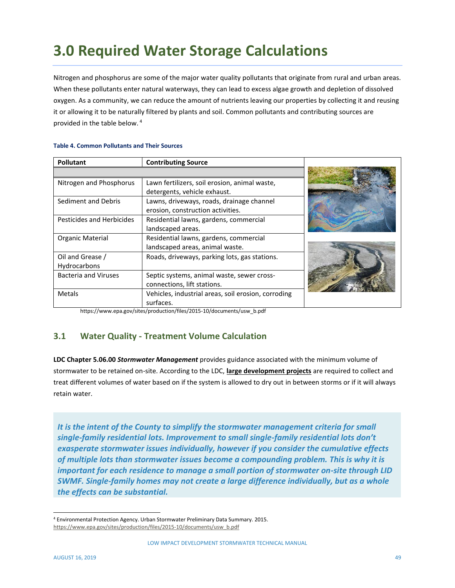# **3.0 Required Water Storage Calculations**

Nitrogen and phosphorus are some of the major water quality pollutants that originate from rural and urban areas. When these pollutants enter natural waterways, they can lead to excess algae growth and depletion of dissolved oxygen. As a community, we can reduce the amount of nutrients leaving our properties by collecting it and reusing it or allowing it to be naturally filtered by plants and soil. Common pollutants and contributing sources are provided in the table below. <sup>4</sup>

| <b>Pollutant</b>            | <b>Contributing Source</b>                          |  |
|-----------------------------|-----------------------------------------------------|--|
|                             |                                                     |  |
| Nitrogen and Phosphorus     | Lawn fertilizers, soil erosion, animal waste,       |  |
|                             | detergents, vehicle exhaust.                        |  |
| Sediment and Debris         | Lawns, driveways, roads, drainage channel           |  |
|                             | erosion, construction activities.                   |  |
| Pesticides and Herbicides   | Residential lawns, gardens, commercial              |  |
|                             | landscaped areas.                                   |  |
| Organic Material            | Residential lawns, gardens, commercial              |  |
|                             | landscaped areas, animal waste.                     |  |
| Oil and Grease /            | Roads, driveways, parking lots, gas stations.       |  |
| Hydrocarbons                |                                                     |  |
| <b>Bacteria and Viruses</b> | Septic systems, animal waste, sewer cross-          |  |
|                             | connections, lift stations.                         |  |
| Metals                      | Vehicles, industrial areas, soil erosion, corroding |  |
|                             | surfaces.                                           |  |

#### **Table 4. Common Pollutants and Their Sources**

https://www.epa.gov/sites/production/files/2015-10/documents/usw\_b.pdf

# **3.1 Water Quality - Treatment Volume Calculation**

**LDC Chapter 5.06.00** *Stormwater Management* provides guidance associated with the minimum volume of stormwater to be retained on-site. According to the LDC, **large development projects** are required to collect and treat different volumes of water based on if the system is allowed to dry out in between storms or if it will always retain water.

*It is the intent of the County to simplify the stormwater management criteria for small single-family residential lots. Improvement to small single-family residential lots don't exasperate stormwater issues individually, however if you consider the cumulative effects of multiple lots than stormwater issues become a compounding problem. This is why it is important for each residence to manage a small portion of stormwater on-site through LID SWMF. Single-family homes may not create a large difference individually, but as a whole the effects can be substantial.* 

<sup>4</sup> Environmental Protection Agency. Urban Stormwater Preliminary Data Summary. 2015. [https://www.epa.gov/sites/production/files/2015-10/documents/usw\\_b.pdf](https://www.epa.gov/sites/production/files/2015-10/documents/usw_b.pdf)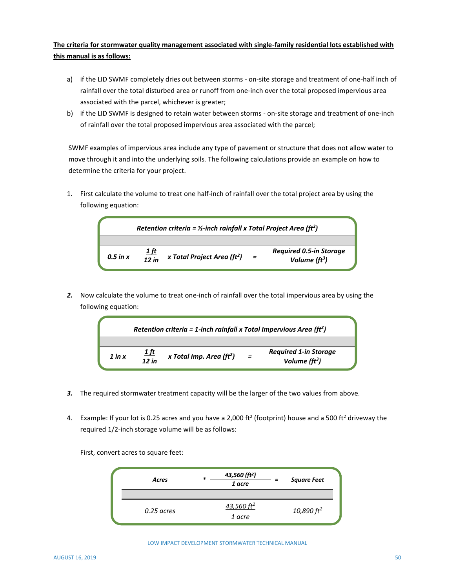#### **The criteria for stormwater quality management associated with single-family residential lots established with this manual is as follows:**

- a) if the LID SWMF completely dries out between storms on-site storage and treatment of one-half inch of rainfall over the total disturbed area or runoff from one-inch over the total proposed impervious area associated with the parcel, whichever is greater;
- b) if the LID SWMF is designed to retain water between storms on-site storage and treatment of one-inch of rainfall over the total proposed impervious area associated with the parcel;

SWMF examples of impervious area include any type of pavement or structure that does not allow water to move through it and into the underlying soils. The following calculations provide an example on how to determine the criteria for your project.

1. First calculate the volume to treat one half-inch of rainfall over the total project area by using the following equation:



*2.* Now calculate the volume to treat one-inch of rainfall over the total impervious area by using the following equation:

| Retention criteria = 1-inch rainfall x Total Impervious Area ( $ft2$ ) |                                                      |          |                                                  |  |  |  |  |  |
|------------------------------------------------------------------------|------------------------------------------------------|----------|--------------------------------------------------|--|--|--|--|--|
| $1$ in $x$                                                             | <u> 1 ft</u><br>x Total Imp. Area ( $ft2$ )<br>12 in | $\equiv$ | <b>Required 1-in Storage</b><br>Volume ( $ft3$ ) |  |  |  |  |  |

- *3.* The required stormwater treatment capacity will be the larger of the two values from above.
- 4. Example: If your lot is 0.25 acres and you have a 2,000 ft<sup>2</sup> (footprint) house and a 500 ft<sup>2</sup> driveway the required 1/2-inch storage volume will be as follows:

First, convert acres to square feet:



LOW IMPACT DEVELOPMENT STORMWATER TECHNICAL MANUAL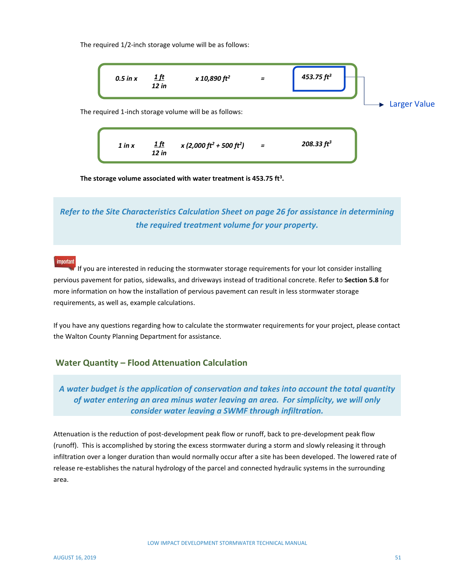The required 1/2-inch storage volume will be as follows:



**The storage volume associated with water treatment is 453.75 ft<sup>3</sup> .**

*Refer to the Site Characteristics Calculation Sheet on page 26 for assistance in determining the required treatment volume for your property.*

#### important

If you are interested in reducing the stormwater storage requirements for your lot consider installing pervious pavement for patios, sidewalks, and driveways instead of traditional concrete. Refer to **Section 5.8** for more information on how the installation of pervious pavement can result in less stormwater storage requirements, as well as, example calculations.

If you have any questions regarding how to calculate the stormwater requirements for your project, please contact the Walton County Planning Department for assistance.

#### **Water Quantity – Flood Attenuation Calculation**

# *A water budget is the application of conservation and takes into account the total quantity of water entering an area minus water leaving an area. For simplicity, we will only consider water leaving a SWMF through infiltration.*

Attenuation is the reduction of post-development peak flow or runoff, back to pre-development peak flow (runoff). This is accomplished by storing the excess stormwater during a storm and slowly releasing it through infiltration over a longer duration than would normally occur after a site has been developed. The lowered rate of release re-establishes the natural hydrology of the parcel and connected hydraulic systems in the surrounding area.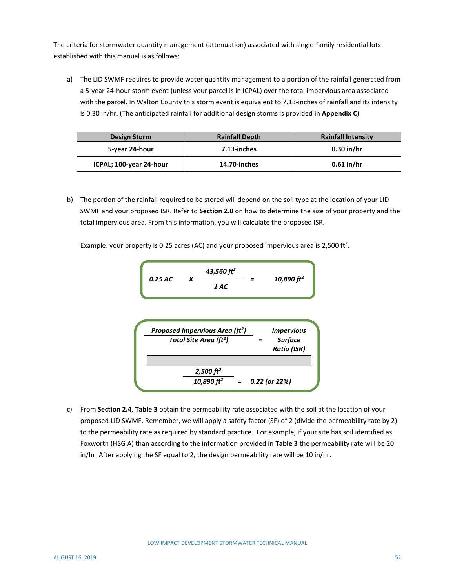The criteria for stormwater quantity management (attenuation) associated with single-family residential lots established with this manual is as follows:

a) The LID SWMF requires to provide water quantity management to a portion of the rainfall generated from a 5-year 24-hour storm event (unless your parcel is in ICPAL) over the total impervious area associated with the parcel. In Walton County this storm event is equivalent to 7.13-inches of rainfall and its intensity is 0.30 in/hr. (The anticipated rainfall for additional design storms is provided in **Appendix C**)

| Design Storm            | <b>Rainfall Depth</b> | <b>Rainfall Intensity</b> |
|-------------------------|-----------------------|---------------------------|
| 5-year 24-hour          | 7.13-inches           | $0.30$ in/hr              |
| ICPAL; 100-year 24-hour | 14.70-inches          | $0.61$ in/hr              |

b) The portion of the rainfall required to be stored will depend on the soil type at the location of your LID SWMF and your proposed ISR. Refer to **Section 2.0** on how to determine the size of your property and the total impervious area. From this information, you will calculate the proposed ISR.

Example: your property is 0.25 acres (AC) and your proposed impervious area is 2,500 ft<sup>2</sup>.

*0.25 AC X 43,560 ft<sup>2</sup> = 10,890 ft<sup>2</sup> 1 AC*

*Proposed Impervious Area (ft<sup>2</sup> ) = Impervious Surface Ratio (ISR) Total Site Area (ft<sup>2</sup> ) 2,500 ft<sup>2</sup> 10,890 ft* **=** *0.22 (or 22%) <sup>2</sup>*

c) From **Section 2.4**, **Table 3** obtain the permeability rate associated with the soil at the location of your proposed LID SWMF. Remember, we will apply a safety factor (SF) of 2 (divide the permeability rate by 2) to the permeability rate as required by standard practice. For example, if your site has soil identified as Foxworth (HSG A) than according to the information provided in **Table 3** the permeability rate will be 20 in/hr. After applying the SF equal to 2, the design permeability rate will be 10 in/hr.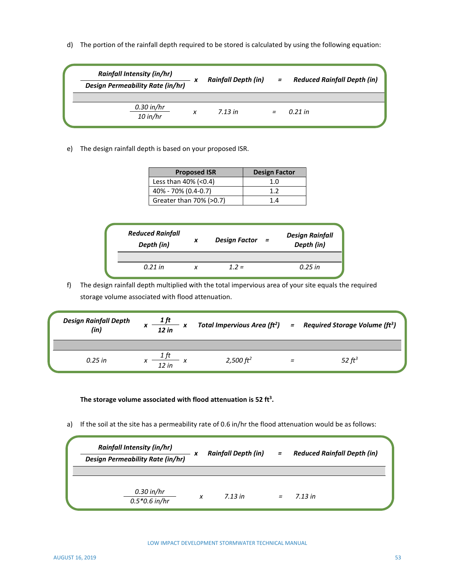d) The portion of the rainfall depth required to be stored is calculated by using the following equation:

| <b>Rainfall Intensity (in/hr)</b><br><b>Design Permeability Rate (in/hr)</b> |   | <b>Rainfall Depth (in)</b> | $=$ | <b>Reduced Rainfall Depth (in)</b> |
|------------------------------------------------------------------------------|---|----------------------------|-----|------------------------------------|
| $0.30$ in/hr<br>$10$ in/hr                                                   | x | 7.13 in                    |     | 0.21 in                            |

e) The design rainfall depth is based on your proposed ISR.

| <b>Proposed ISR</b>     | <b>Design Factor</b> |
|-------------------------|----------------------|
| Less than $40\%$ (<0.4) | 1.0                  |
| 40% - 70% (0.4-0.7)     | 19                   |
| Greater than 70% (>0.7) | 1 4                  |

| <b>Reduced Rainfall</b><br>Depth (in) | x | <b>Design Factor</b> | $=$ | <b>Design Rainfall</b><br>Depth (in) |
|---------------------------------------|---|----------------------|-----|--------------------------------------|
|                                       |   |                      |     |                                      |
| $0.21$ in                             |   | $12 =$               |     | $0.25$ in                            |

f) The design rainfall depth multiplied with the total impervious area of your site equals the required storage volume associated with flood attenuation.

| <b>Design Rainfall Depth</b><br>(in) | x | 1 ft<br>$\frac{1}{2}$ in $\frac{1}{2}$ |                        | Total Impervious Area ( $ft^2$ ) = Required Storage Volume ( $ft^3$ ) |
|--------------------------------------|---|----------------------------------------|------------------------|-----------------------------------------------------------------------|
| $0.25$ in                            |   | 1 ft<br>12 in                          | $2,500 \, \text{ft}^2$ | 52 $ft^3$                                                             |

**The storage volume associated with flood attenuation is 52 ft<sup>3</sup> .**

a) If the soil at the site has a permeability rate of 0.6 in/hr the flood attenuation would be as follows:

| <b>Rainfall Intensity (in/hr)</b><br><b>Design Permeability Rate (in/hr)</b> |   | <b>Rainfall Depth (in)</b> | $=$ | <b>Reduced Rainfall Depth (in)</b> |  |
|------------------------------------------------------------------------------|---|----------------------------|-----|------------------------------------|--|
| $0.30$ in/hr<br>$0.5*0.6$ in/hr                                              | x | 7.13 in                    |     | 7.13 in                            |  |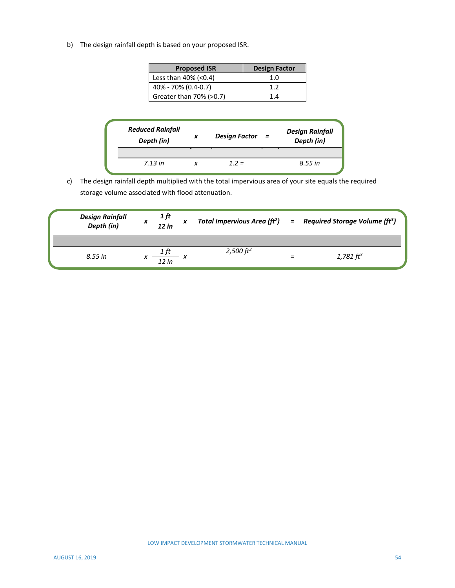b) The design rainfall depth is based on your proposed ISR.

| <b>Proposed ISR</b>     | <b>Design Factor</b> |
|-------------------------|----------------------|
| Less than 40% (<0.4)    | 1.0                  |
| 40% - 70% (0.4-0.7)     | 12                   |
| Greater than 70% (>0.7) | 14                   |

| <b>Reduced Rainfall</b><br>Depth (in) | x | <b>Design Factor</b> | $=$ | <b>Design Rainfall</b><br>Depth (in) |
|---------------------------------------|---|----------------------|-----|--------------------------------------|
|                                       |   |                      |     |                                      |
| 7.13 in                               |   | $12 =$               |     | 8.55 in                              |

c) The design rainfall depth multiplied with the total impervious area of your site equals the required storage volume associated with flood attenuation.

| <b>Design Rainfall</b><br>Depth (in) | 1 ft<br>x<br>$\frac{1}{2 \text{ in}}$ |              | Total Impervious Area ( $ft^2$ ) = Required Storage Volume ( $ft^3$ ) |
|--------------------------------------|---------------------------------------|--------------|-----------------------------------------------------------------------|
| 8.55 in                              | х<br>12 in                            | 2,500 $ft^2$ | 1,781 $ft^3$                                                          |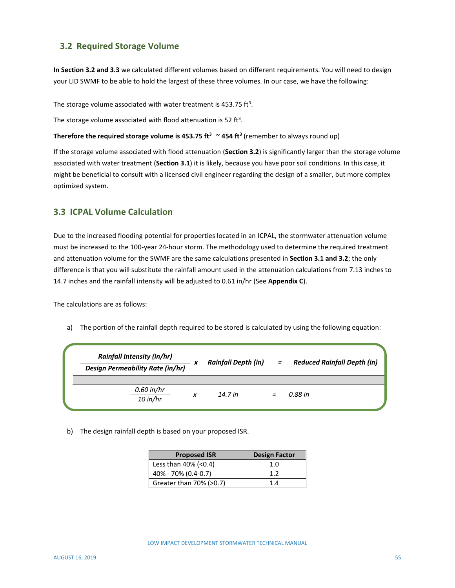## **3.2 Required Storage Volume**

**In Section 3.2 and 3.3** we calculated different volumes based on different requirements. You will need to design your LID SWMF to be able to hold the largest of these three volumes. In our case, we have the following:

The storage volume associated with water treatment is 453.75 ft<sup>3</sup>.

The storage volume associated with flood attenuation is 52 ft<sup>3</sup>.

**Therefore the required storage volume is 453.75 ft<sup>3</sup> ~ 454 ft<sup>3</sup>** (remember to always round up)

If the storage volume associated with flood attenuation (**Section 3.2**) is significantly larger than the storage volume associated with water treatment (**Section 3.1**) it is likely, because you have poor soil conditions. In this case, it might be beneficial to consult with a licensed civil engineer regarding the design of a smaller, but more complex optimized system.

#### **3.3 ICPAL Volume Calculation**

Due to the increased flooding potential for properties located in an ICPAL, the stormwater attenuation volume must be increased to the 100-year 24-hour storm. The methodology used to determine the required treatment and attenuation volume for the SWMF are the same calculations presented in **Section 3.1 and 3.2**; the only difference is that you will substitute the rainfall amount used in the attenuation calculations from 7.13 inches to 14.7 inches and the rainfall intensity will be adjusted to 0.61 in/hr (See **Appendix C**).

The calculations are as follows:

a) The portion of the rainfall depth required to be stored is calculated by using the following equation:

| <b>Rainfall Intensity (in/hr)</b><br><b>Design Permeability Rate (in/hr)</b> |   | <b>Rainfall Depth (in)</b> | $=$ | <b>Reduced Rainfall Depth (in)</b> |
|------------------------------------------------------------------------------|---|----------------------------|-----|------------------------------------|
| $0.60$ in/hr<br>$10$ in/hr                                                   | x | 14.7 in                    |     | 0.88 in                            |

b) The design rainfall depth is based on your proposed ISR.

| <b>Proposed ISR</b>     | <b>Design Factor</b> |
|-------------------------|----------------------|
| Less than $40\%$ (<0.4) | 1.0                  |
| 40% - 70% (0.4-0.7)     | 1.2                  |
| Greater than 70% (>0.7) | 14                   |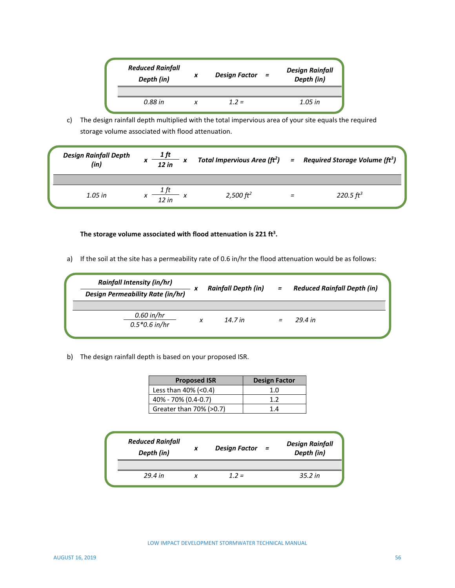| <b>Reduced Rainfall</b><br>Depth (in) | x | <b>Design Factor</b> | $=$ | <b>Design Rainfall</b><br>Depth (in) |
|---------------------------------------|---|----------------------|-----|--------------------------------------|
| 0.88 in                               |   | $12 =$               |     | 1.05 in                              |

c) The design rainfall depth multiplied with the total impervious area of your site equals the required storage volume associated with flood attenuation.

| <b>Design Rainfall Depth</b><br>(in) | $\frac{1}{12 \text{ in}}$ x |                        |   | Total Impervious Area ( $ft^2$ ) = Required Storage Volume ( $ft^3$ ) |
|--------------------------------------|-----------------------------|------------------------|---|-----------------------------------------------------------------------|
| 1.05 in                              | 12 in                       | $2,500 \, \text{ft}^2$ | Ξ | 220.5 $ft^3$                                                          |

#### **The storage volume associated with flood attenuation is 221 ft<sup>3</sup> .**

a) If the soil at the site has a permeability rate of 0.6 in/hr the flood attenuation would be as follows:

| <b>Rainfall Intensity (in/hr)</b><br><b>Design Permeability Rate (in/hr)</b> |   | <b>Rainfall Depth (in)</b> | $=$ | <b>Reduced Rainfall Depth (in)</b> |
|------------------------------------------------------------------------------|---|----------------------------|-----|------------------------------------|
| $0.60$ in/hr<br>$0.5*0.6$ in/hr                                              | x | 14.7 in                    | $=$ | 29.4 in                            |

b) The design rainfall depth is based on your proposed ISR.

| <b>Proposed ISR</b>     | <b>Design Factor</b> |
|-------------------------|----------------------|
| Less than $40\%$ (<0.4) | 1.0                  |
| 40% - 70% (0.4-0.7)     | 12                   |
| Greater than 70% (>0.7) | 14                   |

| <b>Reduced Rainfall</b><br>Depth (in) | x | <b>Design Factor</b> | $=$ | <b>Design Rainfall</b><br>Depth (in) |
|---------------------------------------|---|----------------------|-----|--------------------------------------|
| 29.4 in                               |   | $1.2 =$              |     | 35.2 in                              |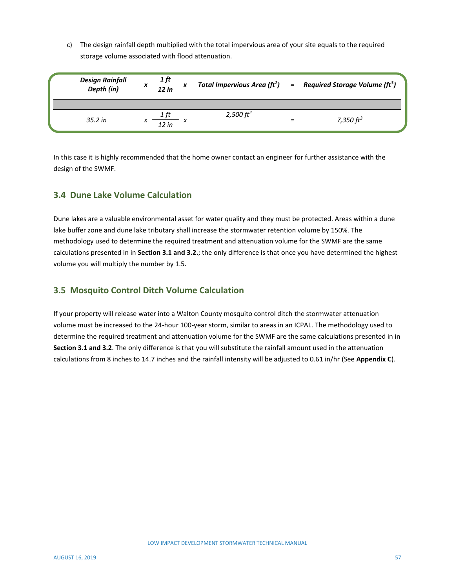c) The design rainfall depth multiplied with the total impervious area of your site equals to the required storage volume associated with flood attenuation.

| <b>Design Rainfall</b><br>Depth (in) | л | 12 in |  |                        | Total Impervious Area ( $ft^2$ ) = Required Storage Volume ( $ft^3$ ) |
|--------------------------------------|---|-------|--|------------------------|-----------------------------------------------------------------------|
| $35.2$ in                            |   | 12 in |  | $2,500 \, \text{ft}^2$ | 7,350 $ft^3$                                                          |

In this case it is highly recommended that the home owner contact an engineer for further assistance with the design of the SWMF.

## **3.4 Dune Lake Volume Calculation**

Dune lakes are a valuable environmental asset for water quality and they must be protected. Areas within a dune lake buffer zone and dune lake tributary shall increase the stormwater retention volume by 150%. The methodology used to determine the required treatment and attenuation volume for the SWMF are the same calculations presented in in **Section 3.1 and 3.2.**; the only difference is that once you have determined the highest volume you will multiply the number by 1.5.

## **3.5 Mosquito Control Ditch Volume Calculation**

If your property will release water into a Walton County mosquito control ditch the stormwater attenuation volume must be increased to the 24-hour 100-year storm, similar to areas in an ICPAL. The methodology used to determine the required treatment and attenuation volume for the SWMF are the same calculations presented in in **Section 3.1 and 3.2**. The only difference is that you will substitute the rainfall amount used in the attenuation calculations from 8 inches to 14.7 inches and the rainfall intensity will be adjusted to 0.61 in/hr (See **Appendix C**).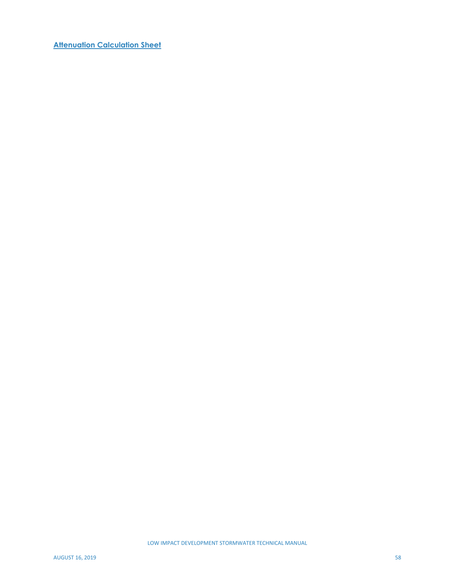**Attenuation Calculation Sheet**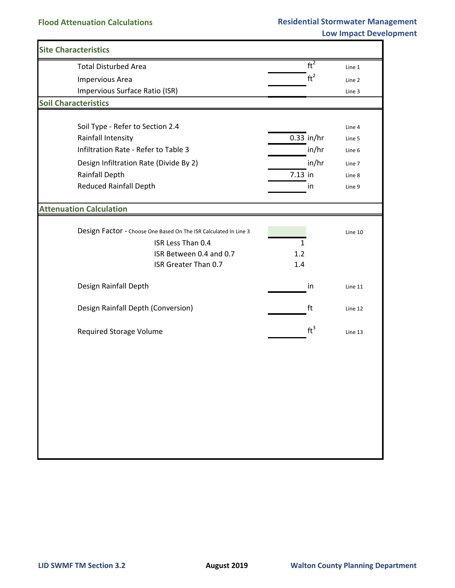| <b>Site Characteristics</b>                                      |              |                         |         |
|------------------------------------------------------------------|--------------|-------------------------|---------|
| <b>Total Disturbed Area</b>                                      |              | ft <sup>2</sup>         | Line 1  |
| <b>Impervious Area</b>                                           |              | ft <sup>2</sup>         | Line 2  |
| Impervious Surface Ratio (ISR)                                   |              |                         | Line 3  |
| <b>Soil Characteristics</b>                                      |              |                         |         |
|                                                                  |              |                         |         |
| Soil Type - Refer to Section 2.4                                 |              |                         | Line 4  |
| Rainfall Intensity                                               |              | $\overline{0.33}$ in/hr | Line 5  |
| Infiltration Rate - Refer to Table 3                             |              | in/hr                   | Line 6  |
| Design Infiltration Rate (Divide By 2)                           |              | in/hr                   | Line 7  |
| Rainfall Depth                                                   | 7.13 in      |                         | Line 8  |
| <b>Reduced Rainfall Depth</b>                                    |              | in                      | Line 9  |
|                                                                  |              |                         |         |
| <b>Attenuation Calculation</b>                                   |              |                         |         |
|                                                                  |              |                         |         |
| Design Factor - Choose One Based On The ISR Calculated In Line 3 |              |                         | Line 10 |
| ISR Less Than 0.4                                                | $\mathbf{1}$ |                         |         |
| ISR Between 0.4 and 0.7<br>ISR Greater Than 0.7                  | 1.2<br>1.4   |                         |         |
|                                                                  |              |                         |         |
| Design Rainfall Depth                                            |              | in                      | Line 11 |
|                                                                  |              |                         |         |
| Design Rainfall Depth (Conversion)                               |              | ft                      | Line 12 |
|                                                                  |              |                         |         |
| <b>Required Storage Volume</b>                                   |              | $ft^3$                  | Line 13 |
|                                                                  |              |                         |         |